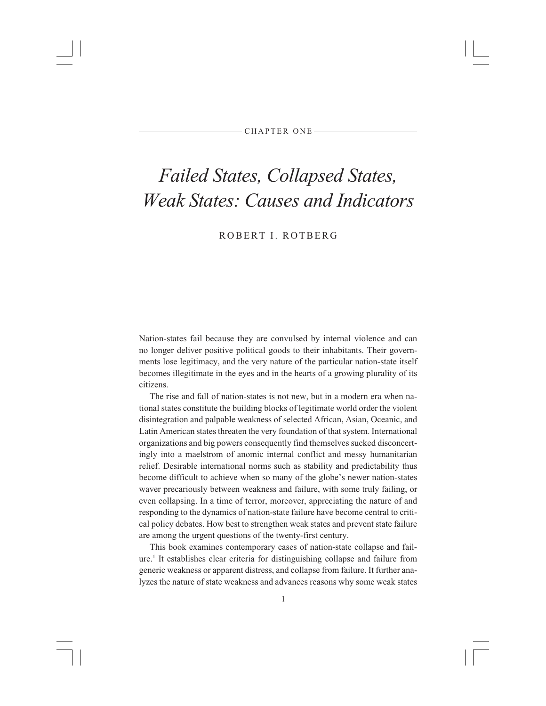# *Failed States, Collapsed States, Weak States: Causes and Indicators*

## ROBERT I. ROTBERG

Nation-states fail because they are convulsed by internal violence and can no longer deliver positive political goods to their inhabitants. Their governments lose legitimacy, and the very nature of the particular nation-state itself becomes illegitimate in the eyes and in the hearts of a growing plurality of its citizens.

The rise and fall of nation-states is not new, but in a modern era when national states constitute the building blocks of legitimate world order the violent disintegration and palpable weakness of selected African, Asian, Oceanic, and Latin American states threaten the very foundation of that system. International organizations and big powers consequently find themselves sucked disconcertingly into a maelstrom of anomic internal conflict and messy humanitarian relief. Desirable international norms such as stability and predictability thus become difficult to achieve when so many of the globe's newer nation-states waver precariously between weakness and failure, with some truly failing, or even collapsing. In a time of terror, moreover, appreciating the nature of and responding to the dynamics of nation-state failure have become central to critical policy debates. How best to strengthen weak states and prevent state failure are among the urgent questions of the twenty-first century.

This book examines contemporary cases of nation-state collapse and failure.1 It establishes clear criteria for distinguishing collapse and failure from generic weakness or apparent distress, and collapse from failure. It further analyzes the nature of state weakness and advances reasons why some weak states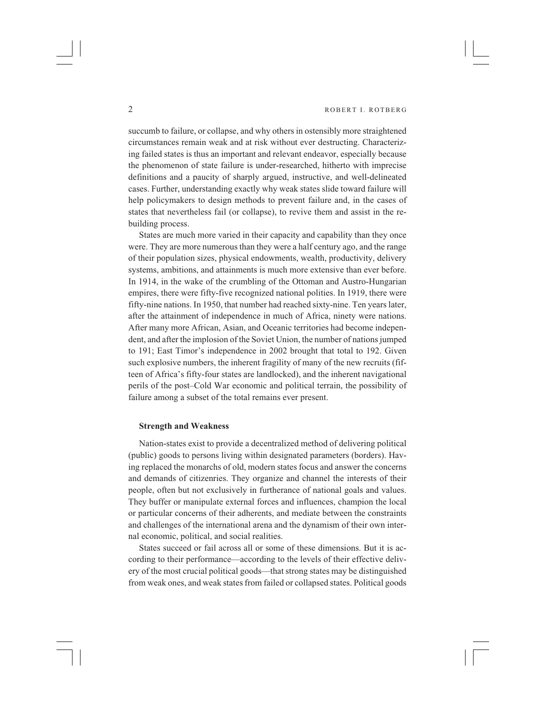succumb to failure, or collapse, and why others in ostensibly more straightened circumstances remain weak and at risk without ever destructing. Characterizing failed states is thus an important and relevant endeavor, especially because the phenomenon of state failure is under-researched, hitherto with imprecise definitions and a paucity of sharply argued, instructive, and well-delineated cases. Further, understanding exactly why weak states slide toward failure will help policymakers to design methods to prevent failure and, in the cases of states that nevertheless fail (or collapse), to revive them and assist in the rebuilding process.

States are much more varied in their capacity and capability than they once were. They are more numerous than they were a half century ago, and the range of their population sizes, physical endowments, wealth, productivity, delivery systems, ambitions, and attainments is much more extensive than ever before. In 1914, in the wake of the crumbling of the Ottoman and Austro-Hungarian empires, there were fifty-five recognized national polities. In 1919, there were fifty-nine nations. In 1950, that number had reached sixty-nine. Ten years later, after the attainment of independence in much of Africa, ninety were nations. After many more African, Asian, and Oceanic territories had become independent, and after the implosion of the Soviet Union, the number of nations jumped to 191; East Timor's independence in 2002 brought that total to 192. Given such explosive numbers, the inherent fragility of many of the new recruits (fifteen of Africa's fifty-four states are landlocked), and the inherent navigational perils of the post–Cold War economic and political terrain, the possibility of failure among a subset of the total remains ever present.

#### **Strength and Weakness**

Nation-states exist to provide a decentralized method of delivering political (public) goods to persons living within designated parameters (borders). Having replaced the monarchs of old, modern states focus and answer the concerns and demands of citizenries. They organize and channel the interests of their people, often but not exclusively in furtherance of national goals and values. They buffer or manipulate external forces and influences, champion the local or particular concerns of their adherents, and mediate between the constraints and challenges of the international arena and the dynamism of their own internal economic, political, and social realities.

States succeed or fail across all or some of these dimensions. But it is according to their performance—according to the levels of their effective delivery of the most crucial political goods—that strong states may be distinguished from weak ones, and weak states from failed or collapsed states. Political goods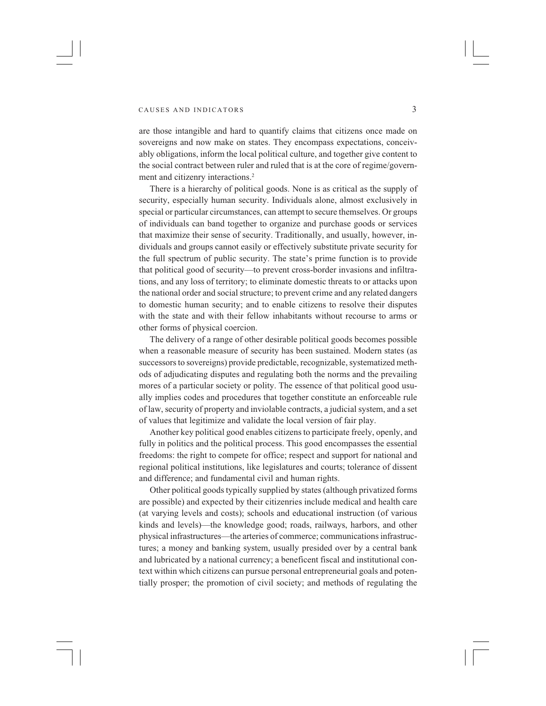are those intangible and hard to quantify claims that citizens once made on sovereigns and now make on states. They encompass expectations, conceivably obligations, inform the local political culture, and together give content to the social contract between ruler and ruled that is at the core of regime/government and citizenry interactions.<sup>2</sup>

There is a hierarchy of political goods. None is as critical as the supply of security, especially human security. Individuals alone, almost exclusively in special or particular circumstances, can attempt to secure themselves. Or groups of individuals can band together to organize and purchase goods or services that maximize their sense of security. Traditionally, and usually, however, individuals and groups cannot easily or effectively substitute private security for the full spectrum of public security. The state's prime function is to provide that political good of security—to prevent cross-border invasions and infiltrations, and any loss of territory; to eliminate domestic threats to or attacks upon the national order and social structure; to prevent crime and any related dangers to domestic human security; and to enable citizens to resolve their disputes with the state and with their fellow inhabitants without recourse to arms or other forms of physical coercion.

The delivery of a range of other desirable political goods becomes possible when a reasonable measure of security has been sustained. Modern states (as successors to sovereigns) provide predictable, recognizable, systematized methods of adjudicating disputes and regulating both the norms and the prevailing mores of a particular society or polity. The essence of that political good usually implies codes and procedures that together constitute an enforceable rule of law, security of property and inviolable contracts, a judicial system, and a set of values that legitimize and validate the local version of fair play.

Another key political good enables citizens to participate freely, openly, and fully in politics and the political process. This good encompasses the essential freedoms: the right to compete for office; respect and support for national and regional political institutions, like legislatures and courts; tolerance of dissent and difference; and fundamental civil and human rights.

Other political goods typically supplied by states (although privatized forms are possible) and expected by their citizenries include medical and health care (at varying levels and costs); schools and educational instruction (of various kinds and levels)—the knowledge good; roads, railways, harbors, and other physical infrastructures—the arteries of commerce; communications infrastructures; a money and banking system, usually presided over by a central bank and lubricated by a national currency; a beneficent fiscal and institutional context within which citizens can pursue personal entrepreneurial goals and potentially prosper; the promotion of civil society; and methods of regulating the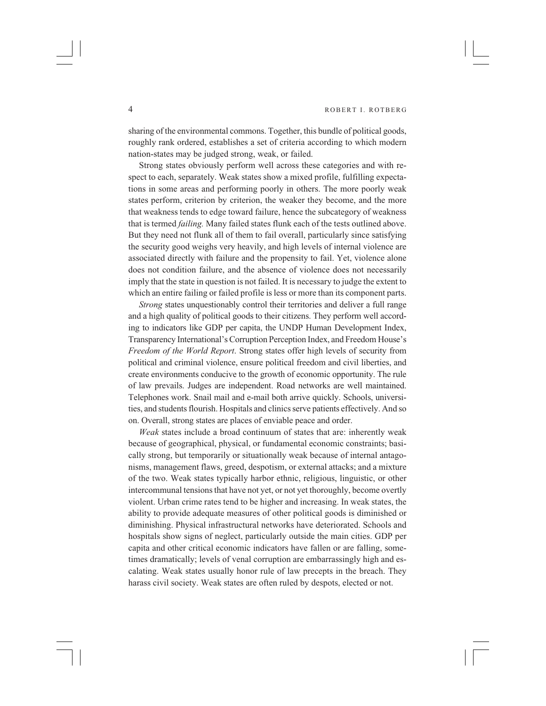sharing of the environmental commons. Together, this bundle of political goods, roughly rank ordered, establishes a set of criteria according to which modern nation-states may be judged strong, weak, or failed.

Strong states obviously perform well across these categories and with respect to each, separately. Weak states show a mixed profile, fulfilling expectations in some areas and performing poorly in others. The more poorly weak states perform, criterion by criterion, the weaker they become, and the more that weakness tends to edge toward failure, hence the subcategory of weakness that is termed *failing.* Many failed states flunk each of the tests outlined above. But they need not flunk all of them to fail overall, particularly since satisfying the security good weighs very heavily, and high levels of internal violence are associated directly with failure and the propensity to fail. Yet, violence alone does not condition failure, and the absence of violence does not necessarily imply that the state in question is not failed. It is necessary to judge the extent to which an entire failing or failed profile is less or more than its component parts.

*Strong* states unquestionably control their territories and deliver a full range and a high quality of political goods to their citizens. They perform well according to indicators like GDP per capita, the UNDP Human Development Index, Transparency International's Corruption Perception Index, and Freedom House's *Freedom of the World Report*. Strong states offer high levels of security from political and criminal violence, ensure political freedom and civil liberties, and create environments conducive to the growth of economic opportunity. The rule of law prevails. Judges are independent. Road networks are well maintained. Telephones work. Snail mail and e-mail both arrive quickly. Schools, universities, and students flourish. Hospitals and clinics serve patients effectively. And so on. Overall, strong states are places of enviable peace and order.

*Weak* states include a broad continuum of states that are: inherently weak because of geographical, physical, or fundamental economic constraints; basically strong, but temporarily or situationally weak because of internal antagonisms, management flaws, greed, despotism, or external attacks; and a mixture of the two. Weak states typically harbor ethnic, religious, linguistic, or other intercommunal tensions that have not yet, or not yet thoroughly, become overtly violent. Urban crime rates tend to be higher and increasing. In weak states, the ability to provide adequate measures of other political goods is diminished or diminishing. Physical infrastructural networks have deteriorated. Schools and hospitals show signs of neglect, particularly outside the main cities. GDP per capita and other critical economic indicators have fallen or are falling, sometimes dramatically; levels of venal corruption are embarrassingly high and escalating. Weak states usually honor rule of law precepts in the breach. They harass civil society. Weak states are often ruled by despots, elected or not.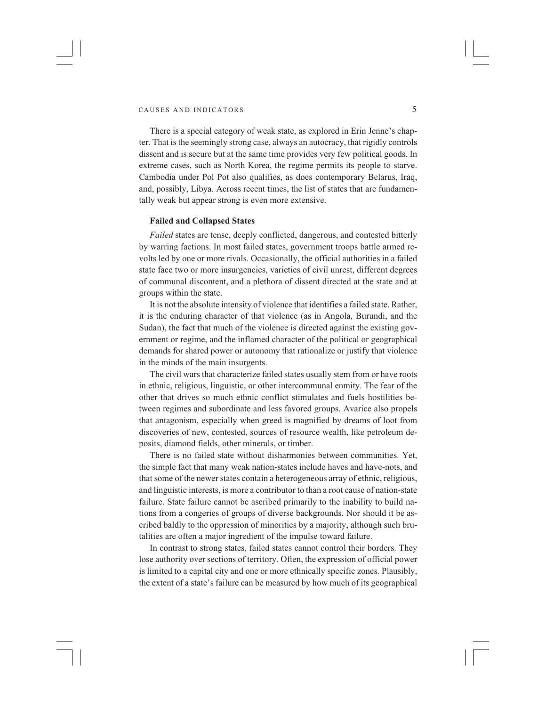There is a special category of weak state, as explored in Erin Jenne's chapter. That is the seemingly strong case, always an autocracy, that rigidly controls dissent and is secure but at the same time provides very few political goods. In extreme cases, such as North Korea, the regime permits its people to starve. Cambodia under Pol Pot also qualifies, as does contemporary Belarus, Iraq, and, possibly, Libya. Across recent times, the list of states that are fundamentally weak but appear strong is even more extensive.

## **Failed and Collapsed States**

*Failed* states are tense, deeply conflicted, dangerous, and contested bitterly by warring factions. In most failed states, government troops battle armed revolts led by one or more rivals. Occasionally, the official authorities in a failed state face two or more insurgencies, varieties of civil unrest, different degrees of communal discontent, and a plethora of dissent directed at the state and at groups within the state.

It is not the absolute intensity of violence that identifies a failed state. Rather, it is the enduring character of that violence (as in Angola, Burundi, and the Sudan), the fact that much of the violence is directed against the existing government or regime, and the inflamed character of the political or geographical demands for shared power or autonomy that rationalize or justify that violence in the minds of the main insurgents.

The civil wars that characterize failed states usually stem from or have roots in ethnic, religious, linguistic, or other intercommunal enmity. The fear of the other that drives so much ethnic conflict stimulates and fuels hostilities between regimes and subordinate and less favored groups. Avarice also propels that antagonism, especially when greed is magnified by dreams of loot from discoveries of new, contested, sources of resource wealth, like petroleum deposits, diamond fields, other minerals, or timber.

There is no failed state without disharmonies between communities. Yet, the simple fact that many weak nation-states include haves and have-nots, and that some of the newer states contain a heterogeneous array of ethnic, religious, and linguistic interests, is more a contributor to than a root cause of nation-state failure. State failure cannot be ascribed primarily to the inability to build nations from a congeries of groups of diverse backgrounds. Nor should it be ascribed baldly to the oppression of minorities by a majority, although such brutalities are often a major ingredient of the impulse toward failure.

In contrast to strong states, failed states cannot control their borders. They lose authority over sections of territory. Often, the expression of official power is limited to a capital city and one or more ethnically specific zones. Plausibly, the extent of a state's failure can be measured by how much of its geographical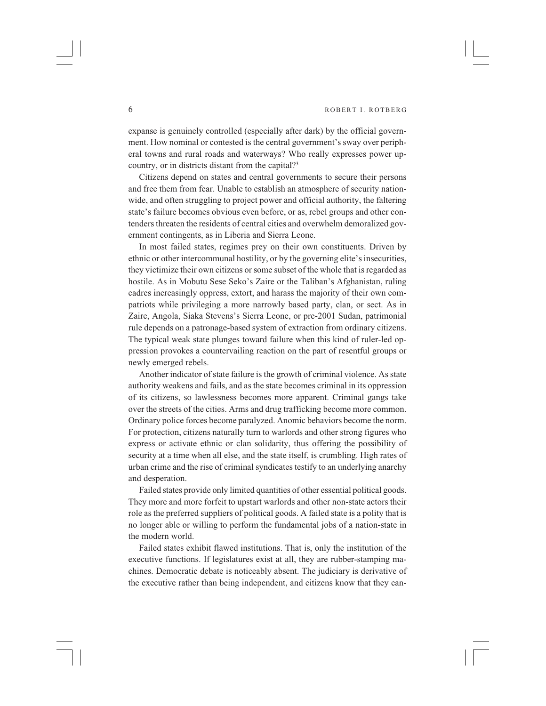expanse is genuinely controlled (especially after dark) by the official government. How nominal or contested is the central government's sway over peripheral towns and rural roads and waterways? Who really expresses power upcountry, or in districts distant from the capital?<sup>3</sup>

Citizens depend on states and central governments to secure their persons and free them from fear. Unable to establish an atmosphere of security nationwide, and often struggling to project power and official authority, the faltering state's failure becomes obvious even before, or as, rebel groups and other contenders threaten the residents of central cities and overwhelm demoralized government contingents, as in Liberia and Sierra Leone.

In most failed states, regimes prey on their own constituents. Driven by ethnic or other intercommunal hostility, or by the governing elite's insecurities, they victimize their own citizens or some subset of the whole that is regarded as hostile. As in Mobutu Sese Seko's Zaire or the Taliban's Afghanistan, ruling cadres increasingly oppress, extort, and harass the majority of their own compatriots while privileging a more narrowly based party, clan, or sect. As in Zaire, Angola, Siaka Stevens's Sierra Leone, or pre-2001 Sudan, patrimonial rule depends on a patronage-based system of extraction from ordinary citizens. The typical weak state plunges toward failure when this kind of ruler-led oppression provokes a countervailing reaction on the part of resentful groups or newly emerged rebels.

Another indicator of state failure is the growth of criminal violence. As state authority weakens and fails, and as the state becomes criminal in its oppression of its citizens, so lawlessness becomes more apparent. Criminal gangs take over the streets of the cities. Arms and drug trafficking become more common. Ordinary police forces become paralyzed. Anomic behaviors become the norm. For protection, citizens naturally turn to warlords and other strong figures who express or activate ethnic or clan solidarity, thus offering the possibility of security at a time when all else, and the state itself, is crumbling. High rates of urban crime and the rise of criminal syndicates testify to an underlying anarchy and desperation.

Failed states provide only limited quantities of other essential political goods. They more and more forfeit to upstart warlords and other non-state actors their role as the preferred suppliers of political goods. A failed state is a polity that is no longer able or willing to perform the fundamental jobs of a nation-state in the modern world.

Failed states exhibit flawed institutions. That is, only the institution of the executive functions. If legislatures exist at all, they are rubber-stamping machines. Democratic debate is noticeably absent. The judiciary is derivative of the executive rather than being independent, and citizens know that they can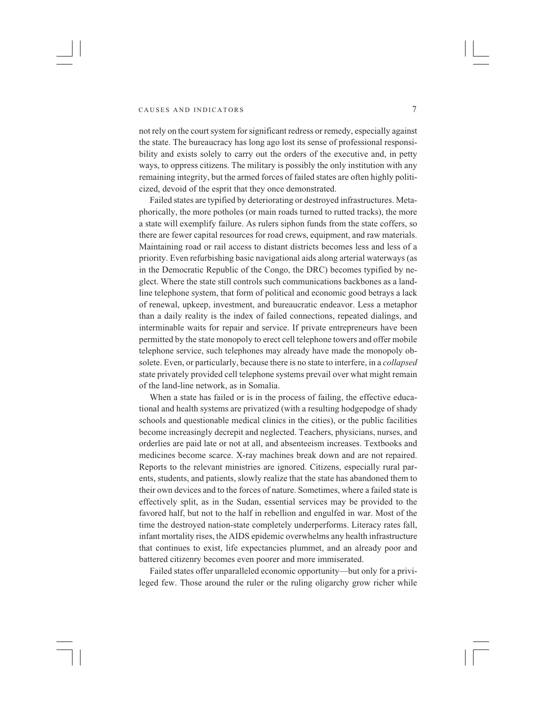not rely on the court system for significant redress or remedy, especially against the state. The bureaucracy has long ago lost its sense of professional responsibility and exists solely to carry out the orders of the executive and, in petty ways, to oppress citizens. The military is possibly the only institution with any remaining integrity, but the armed forces of failed states are often highly politicized, devoid of the esprit that they once demonstrated.

Failed states are typified by deteriorating or destroyed infrastructures. Metaphorically, the more potholes (or main roads turned to rutted tracks), the more a state will exemplify failure. As rulers siphon funds from the state coffers, so there are fewer capital resources for road crews, equipment, and raw materials. Maintaining road or rail access to distant districts becomes less and less of a priority. Even refurbishing basic navigational aids along arterial waterways (as in the Democratic Republic of the Congo, the DRC) becomes typified by neglect. Where the state still controls such communications backbones as a landline telephone system, that form of political and economic good betrays a lack of renewal, upkeep, investment, and bureaucratic endeavor. Less a metaphor than a daily reality is the index of failed connections, repeated dialings, and interminable waits for repair and service. If private entrepreneurs have been permitted by the state monopoly to erect cell telephone towers and offer mobile telephone service, such telephones may already have made the monopoly obsolete. Even, or particularly, because there is no state to interfere, in a *collapsed* state privately provided cell telephone systems prevail over what might remain of the land-line network, as in Somalia.

When a state has failed or is in the process of failing, the effective educational and health systems are privatized (with a resulting hodgepodge of shady schools and questionable medical clinics in the cities), or the public facilities become increasingly decrepit and neglected. Teachers, physicians, nurses, and orderlies are paid late or not at all, and absenteeism increases. Textbooks and medicines become scarce. X-ray machines break down and are not repaired. Reports to the relevant ministries are ignored. Citizens, especially rural parents, students, and patients, slowly realize that the state has abandoned them to their own devices and to the forces of nature. Sometimes, where a failed state is effectively split, as in the Sudan, essential services may be provided to the favored half, but not to the half in rebellion and engulfed in war. Most of the time the destroyed nation-state completely underperforms. Literacy rates fall, infant mortality rises, the AIDS epidemic overwhelms any health infrastructure that continues to exist, life expectancies plummet, and an already poor and battered citizenry becomes even poorer and more immiserated.

Failed states offer unparalleled economic opportunity—but only for a privileged few. Those around the ruler or the ruling oligarchy grow richer while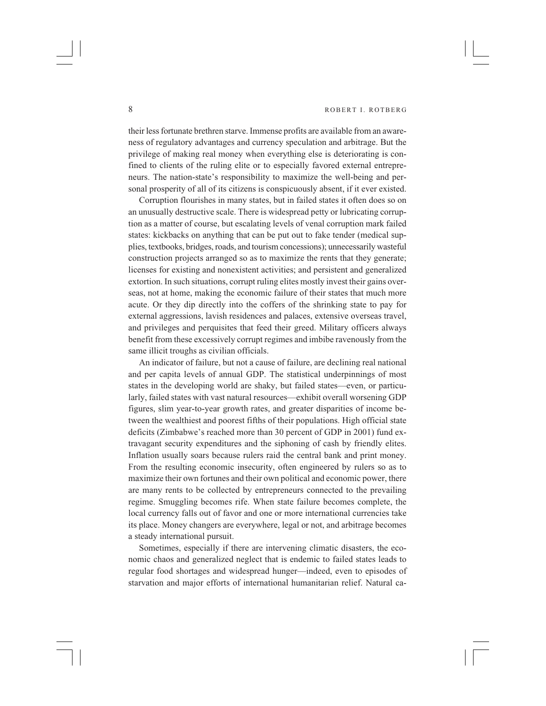their less fortunate brethren starve. Immense profits are available from an awareness of regulatory advantages and currency speculation and arbitrage. But the privilege of making real money when everything else is deteriorating is confined to clients of the ruling elite or to especially favored external entrepreneurs. The nation-state's responsibility to maximize the well-being and personal prosperity of all of its citizens is conspicuously absent, if it ever existed.

Corruption flourishes in many states, but in failed states it often does so on an unusually destructive scale. There is widespread petty or lubricating corruption as a matter of course, but escalating levels of venal corruption mark failed states: kickbacks on anything that can be put out to fake tender (medical supplies, textbooks, bridges, roads, and tourism concessions); unnecessarily wasteful construction projects arranged so as to maximize the rents that they generate; licenses for existing and nonexistent activities; and persistent and generalized extortion. In such situations, corrupt ruling elites mostly invest their gains overseas, not at home, making the economic failure of their states that much more acute. Or they dip directly into the coffers of the shrinking state to pay for external aggressions, lavish residences and palaces, extensive overseas travel, and privileges and perquisites that feed their greed. Military officers always benefit from these excessively corrupt regimes and imbibe ravenously from the same illicit troughs as civilian officials.

An indicator of failure, but not a cause of failure, are declining real national and per capita levels of annual GDP. The statistical underpinnings of most states in the developing world are shaky, but failed states—even, or particularly, failed states with vast natural resources—exhibit overall worsening GDP figures, slim year-to-year growth rates, and greater disparities of income between the wealthiest and poorest fifths of their populations. High official state deficits (Zimbabwe's reached more than 30 percent of GDP in 2001) fund extravagant security expenditures and the siphoning of cash by friendly elites. Inflation usually soars because rulers raid the central bank and print money. From the resulting economic insecurity, often engineered by rulers so as to maximize their own fortunes and their own political and economic power, there are many rents to be collected by entrepreneurs connected to the prevailing regime. Smuggling becomes rife. When state failure becomes complete, the local currency falls out of favor and one or more international currencies take its place. Money changers are everywhere, legal or not, and arbitrage becomes a steady international pursuit.

Sometimes, especially if there are intervening climatic disasters, the economic chaos and generalized neglect that is endemic to failed states leads to regular food shortages and widespread hunger—indeed, even to episodes of starvation and major efforts of international humanitarian relief. Natural ca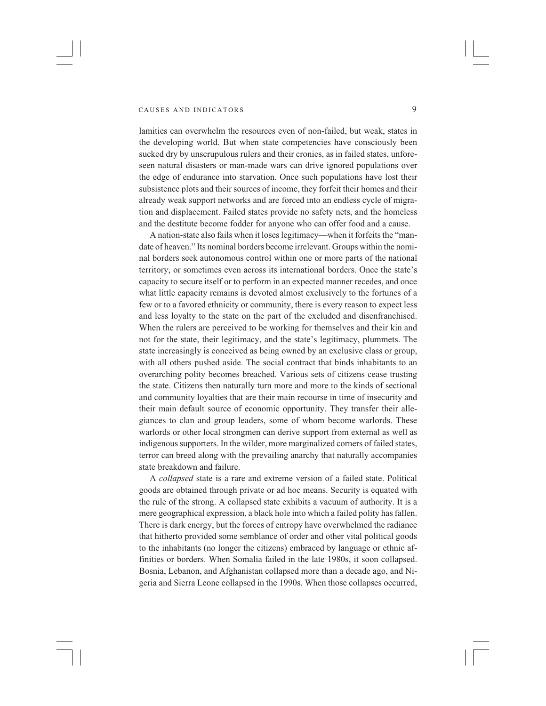lamities can overwhelm the resources even of non-failed, but weak, states in the developing world. But when state competencies have consciously been sucked dry by unscrupulous rulers and their cronies, as in failed states, unforeseen natural disasters or man-made wars can drive ignored populations over the edge of endurance into starvation. Once such populations have lost their subsistence plots and their sources of income, they forfeit their homes and their already weak support networks and are forced into an endless cycle of migration and displacement. Failed states provide no safety nets, and the homeless and the destitute become fodder for anyone who can offer food and a cause.

A nation-state also fails when it loses legitimacy—when it forfeits the "mandate of heaven." Its nominal borders become irrelevant. Groups within the nominal borders seek autonomous control within one or more parts of the national territory, or sometimes even across its international borders. Once the state's capacity to secure itself or to perform in an expected manner recedes, and once what little capacity remains is devoted almost exclusively to the fortunes of a few or to a favored ethnicity or community, there is every reason to expect less and less loyalty to the state on the part of the excluded and disenfranchised. When the rulers are perceived to be working for themselves and their kin and not for the state, their legitimacy, and the state's legitimacy, plummets. The state increasingly is conceived as being owned by an exclusive class or group, with all others pushed aside. The social contract that binds inhabitants to an overarching polity becomes breached. Various sets of citizens cease trusting the state. Citizens then naturally turn more and more to the kinds of sectional and community loyalties that are their main recourse in time of insecurity and their main default source of economic opportunity. They transfer their allegiances to clan and group leaders, some of whom become warlords. These warlords or other local strongmen can derive support from external as well as indigenous supporters. In the wilder, more marginalized corners of failed states, terror can breed along with the prevailing anarchy that naturally accompanies state breakdown and failure.

A *collapsed* state is a rare and extreme version of a failed state. Political goods are obtained through private or ad hoc means. Security is equated with the rule of the strong. A collapsed state exhibits a vacuum of authority. It is a mere geographical expression, a black hole into which a failed polity has fallen. There is dark energy, but the forces of entropy have overwhelmed the radiance that hitherto provided some semblance of order and other vital political goods to the inhabitants (no longer the citizens) embraced by language or ethnic affinities or borders. When Somalia failed in the late 1980s, it soon collapsed. Bosnia, Lebanon, and Afghanistan collapsed more than a decade ago, and Nigeria and Sierra Leone collapsed in the 1990s. When those collapses occurred,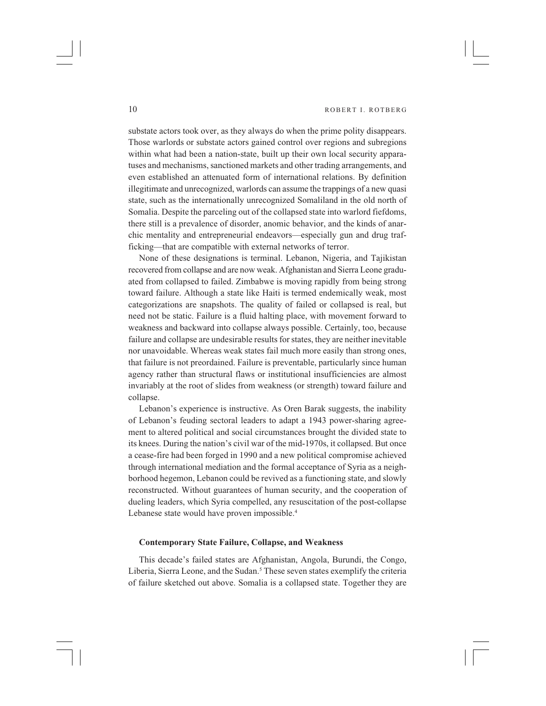substate actors took over, as they always do when the prime polity disappears. Those warlords or substate actors gained control over regions and subregions within what had been a nation-state, built up their own local security apparatuses and mechanisms, sanctioned markets and other trading arrangements, and even established an attenuated form of international relations. By definition illegitimate and unrecognized, warlords can assume the trappings of a new quasi state, such as the internationally unrecognized Somaliland in the old north of Somalia. Despite the parceling out of the collapsed state into warlord fiefdoms, there still is a prevalence of disorder, anomic behavior, and the kinds of anarchic mentality and entrepreneurial endeavors—especially gun and drug trafficking—that are compatible with external networks of terror.

None of these designations is terminal. Lebanon, Nigeria, and Tajikistan recovered from collapse and are now weak. Afghanistan and Sierra Leone graduated from collapsed to failed. Zimbabwe is moving rapidly from being strong toward failure. Although a state like Haiti is termed endemically weak, most categorizations are snapshots. The quality of failed or collapsed is real, but need not be static. Failure is a fluid halting place, with movement forward to weakness and backward into collapse always possible. Certainly, too, because failure and collapse are undesirable results for states, they are neither inevitable nor unavoidable. Whereas weak states fail much more easily than strong ones, that failure is not preordained. Failure is preventable, particularly since human agency rather than structural flaws or institutional insufficiencies are almost invariably at the root of slides from weakness (or strength) toward failure and collapse.

Lebanon's experience is instructive. As Oren Barak suggests, the inability of Lebanon's feuding sectoral leaders to adapt a 1943 power-sharing agreement to altered political and social circumstances brought the divided state to its knees. During the nation's civil war of the mid-1970s, it collapsed. But once a cease-fire had been forged in 1990 and a new political compromise achieved through international mediation and the formal acceptance of Syria as a neighborhood hegemon, Lebanon could be revived as a functioning state, and slowly reconstructed. Without guarantees of human security, and the cooperation of dueling leaders, which Syria compelled, any resuscitation of the post-collapse Lebanese state would have proven impossible.<sup>4</sup>

## **Contemporary State Failure, Collapse, and Weakness**

This decade's failed states are Afghanistan, Angola, Burundi, the Congo, Liberia, Sierra Leone, and the Sudan.<sup>5</sup> These seven states exemplify the criteria of failure sketched out above. Somalia is a collapsed state. Together they are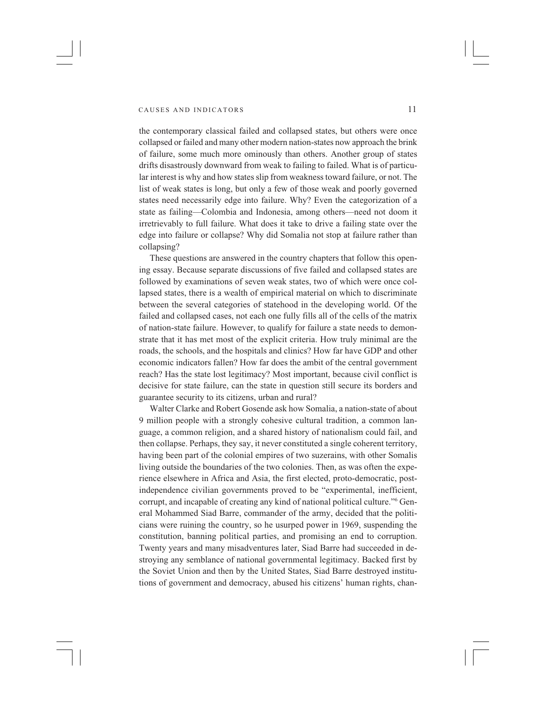the contemporary classical failed and collapsed states, but others were once collapsed or failed and many other modern nation-states now approach the brink of failure, some much more ominously than others. Another group of states drifts disastrously downward from weak to failing to failed. What is of particular interest is why and how states slip from weakness toward failure, or not. The list of weak states is long, but only a few of those weak and poorly governed states need necessarily edge into failure. Why? Even the categorization of a state as failing—Colombia and Indonesia, among others—need not doom it irretrievably to full failure. What does it take to drive a failing state over the edge into failure or collapse? Why did Somalia not stop at failure rather than collapsing?

These questions are answered in the country chapters that follow this opening essay. Because separate discussions of five failed and collapsed states are followed by examinations of seven weak states, two of which were once collapsed states, there is a wealth of empirical material on which to discriminate between the several categories of statehood in the developing world. Of the failed and collapsed cases, not each one fully fills all of the cells of the matrix of nation-state failure. However, to qualify for failure a state needs to demonstrate that it has met most of the explicit criteria. How truly minimal are the roads, the schools, and the hospitals and clinics? How far have GDP and other economic indicators fallen? How far does the ambit of the central government reach? Has the state lost legitimacy? Most important, because civil conflict is decisive for state failure, can the state in question still secure its borders and guarantee security to its citizens, urban and rural?

Walter Clarke and Robert Gosende ask how Somalia, a nation-state of about 9 million people with a strongly cohesive cultural tradition, a common language, a common religion, and a shared history of nationalism could fail, and then collapse. Perhaps, they say, it never constituted a single coherent territory, having been part of the colonial empires of two suzerains, with other Somalis living outside the boundaries of the two colonies. Then, as was often the experience elsewhere in Africa and Asia, the first elected, proto-democratic, postindependence civilian governments proved to be "experimental, inefficient, corrupt, and incapable of creating any kind of national political culture."6 General Mohammed Siad Barre, commander of the army, decided that the politicians were ruining the country, so he usurped power in 1969, suspending the constitution, banning political parties, and promising an end to corruption. Twenty years and many misadventures later, Siad Barre had succeeded in destroying any semblance of national governmental legitimacy. Backed first by the Soviet Union and then by the United States, Siad Barre destroyed institutions of government and democracy, abused his citizens' human rights, chan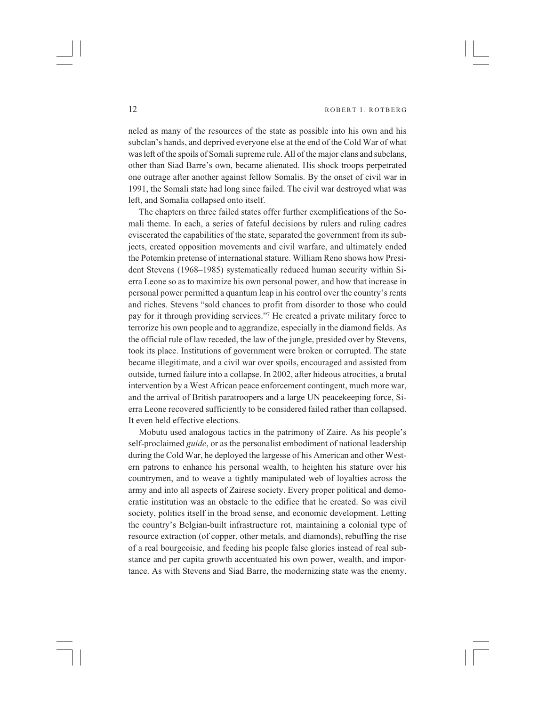neled as many of the resources of the state as possible into his own and his subclan's hands, and deprived everyone else at the end of the Cold War of what was left of the spoils of Somali supreme rule. All of the major clans and subclans, other than Siad Barre's own, became alienated. His shock troops perpetrated one outrage after another against fellow Somalis. By the onset of civil war in 1991, the Somali state had long since failed. The civil war destroyed what was left, and Somalia collapsed onto itself.

The chapters on three failed states offer further exemplifications of the Somali theme. In each, a series of fateful decisions by rulers and ruling cadres eviscerated the capabilities of the state, separated the government from its subjects, created opposition movements and civil warfare, and ultimately ended the Potemkin pretense of international stature. William Reno shows how President Stevens (1968–1985) systematically reduced human security within Sierra Leone so as to maximize his own personal power, and how that increase in personal power permitted a quantum leap in his control over the country's rents and riches. Stevens "sold chances to profit from disorder to those who could pay for it through providing services."7 He created a private military force to terrorize his own people and to aggrandize, especially in the diamond fields. As the official rule of law receded, the law of the jungle, presided over by Stevens, took its place. Institutions of government were broken or corrupted. The state became illegitimate, and a civil war over spoils, encouraged and assisted from outside, turned failure into a collapse. In 2002, after hideous atrocities, a brutal intervention by a West African peace enforcement contingent, much more war, and the arrival of British paratroopers and a large UN peacekeeping force, Sierra Leone recovered sufficiently to be considered failed rather than collapsed. It even held effective elections.

Mobutu used analogous tactics in the patrimony of Zaire. As his people's self-proclaimed *guide*, or as the personalist embodiment of national leadership during the Cold War, he deployed the largesse of his American and other Western patrons to enhance his personal wealth, to heighten his stature over his countrymen, and to weave a tightly manipulated web of loyalties across the army and into all aspects of Zairese society. Every proper political and democratic institution was an obstacle to the edifice that he created. So was civil society, politics itself in the broad sense, and economic development. Letting the country's Belgian-built infrastructure rot, maintaining a colonial type of resource extraction (of copper, other metals, and diamonds), rebuffing the rise of a real bourgeoisie, and feeding his people false glories instead of real substance and per capita growth accentuated his own power, wealth, and importance. As with Stevens and Siad Barre, the modernizing state was the enemy.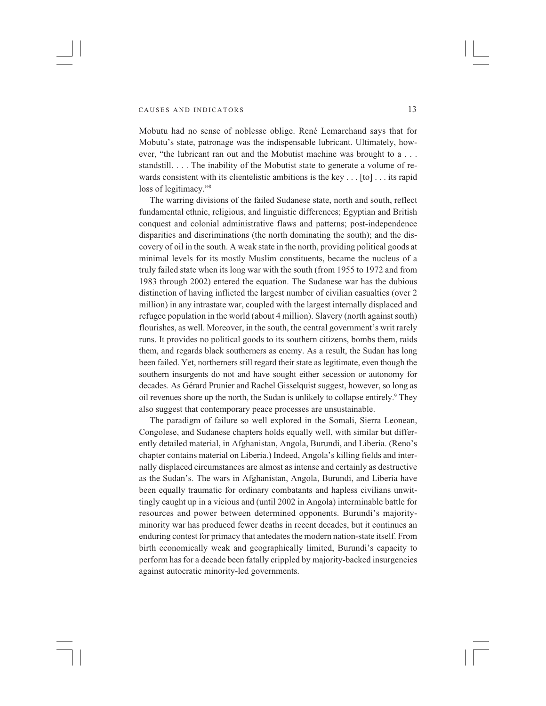Mobutu had no sense of noblesse oblige. René Lemarchand says that for Mobutu's state, patronage was the indispensable lubricant. Ultimately, however, "the lubricant ran out and the Mobutist machine was brought to a . . . standstill. . . . The inability of the Mobutist state to generate a volume of rewards consistent with its clientelistic ambitions is the key . . . [to] . . . its rapid loss of legitimacy."<sup>8</sup>

The warring divisions of the failed Sudanese state, north and south, reflect fundamental ethnic, religious, and linguistic differences; Egyptian and British conquest and colonial administrative flaws and patterns; post-independence disparities and discriminations (the north dominating the south); and the discovery of oil in the south. A weak state in the north, providing political goods at minimal levels for its mostly Muslim constituents, became the nucleus of a truly failed state when its long war with the south (from 1955 to 1972 and from 1983 through 2002) entered the equation. The Sudanese war has the dubious distinction of having inflicted the largest number of civilian casualties (over 2 million) in any intrastate war, coupled with the largest internally displaced and refugee population in the world (about 4 million). Slavery (north against south) flourishes, as well. Moreover, in the south, the central government's writ rarely runs. It provides no political goods to its southern citizens, bombs them, raids them, and regards black southerners as enemy. As a result, the Sudan has long been failed. Yet, northerners still regard their state as legitimate, even though the southern insurgents do not and have sought either secession or autonomy for decades. As Gérard Prunier and Rachel Gisselquist suggest, however, so long as oil revenues shore up the north, the Sudan is unlikely to collapse entirely.<sup>9</sup> They also suggest that contemporary peace processes are unsustainable.

The paradigm of failure so well explored in the Somali, Sierra Leonean, Congolese, and Sudanese chapters holds equally well, with similar but differently detailed material, in Afghanistan, Angola, Burundi, and Liberia. (Reno's chapter contains material on Liberia.) Indeed, Angola's killing fields and internally displaced circumstances are almost as intense and certainly as destructive as the Sudan's. The wars in Afghanistan, Angola, Burundi, and Liberia have been equally traumatic for ordinary combatants and hapless civilians unwittingly caught up in a vicious and (until 2002 in Angola) interminable battle for resources and power between determined opponents. Burundi's majorityminority war has produced fewer deaths in recent decades, but it continues an enduring contest for primacy that antedates the modern nation-state itself. From birth economically weak and geographically limited, Burundi's capacity to perform has for a decade been fatally crippled by majority-backed insurgencies against autocratic minority-led governments.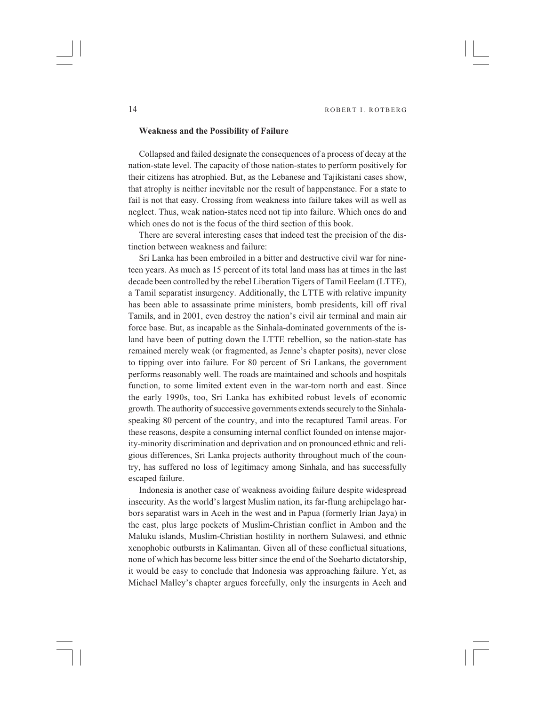#### **Weakness and the Possibility of Failure**

Collapsed and failed designate the consequences of a process of decay at the nation-state level. The capacity of those nation-states to perform positively for their citizens has atrophied. But, as the Lebanese and Tajikistani cases show, that atrophy is neither inevitable nor the result of happenstance. For a state to fail is not that easy. Crossing from weakness into failure takes will as well as neglect. Thus, weak nation-states need not tip into failure. Which ones do and which ones do not is the focus of the third section of this book.

There are several interesting cases that indeed test the precision of the distinction between weakness and failure:

Sri Lanka has been embroiled in a bitter and destructive civil war for nineteen years. As much as 15 percent of its total land mass has at times in the last decade been controlled by the rebel Liberation Tigers of Tamil Eeelam (LTTE), a Tamil separatist insurgency. Additionally, the LTTE with relative impunity has been able to assassinate prime ministers, bomb presidents, kill off rival Tamils, and in 2001, even destroy the nation's civil air terminal and main air force base. But, as incapable as the Sinhala-dominated governments of the island have been of putting down the LTTE rebellion, so the nation-state has remained merely weak (or fragmented, as Jenne's chapter posits), never close to tipping over into failure. For 80 percent of Sri Lankans, the government performs reasonably well. The roads are maintained and schools and hospitals function, to some limited extent even in the war-torn north and east. Since the early 1990s, too, Sri Lanka has exhibited robust levels of economic growth. The authority of successive governments extends securely to the Sinhalaspeaking 80 percent of the country, and into the recaptured Tamil areas. For these reasons, despite a consuming internal conflict founded on intense majority-minority discrimination and deprivation and on pronounced ethnic and religious differences, Sri Lanka projects authority throughout much of the country, has suffered no loss of legitimacy among Sinhala, and has successfully escaped failure.

Indonesia is another case of weakness avoiding failure despite widespread insecurity. As the world's largest Muslim nation, its far-flung archipelago harbors separatist wars in Aceh in the west and in Papua (formerly Irian Jaya) in the east, plus large pockets of Muslim-Christian conflict in Ambon and the Maluku islands, Muslim-Christian hostility in northern Sulawesi, and ethnic xenophobic outbursts in Kalimantan. Given all of these conflictual situations, none of which has become less bitter since the end of the Soeharto dictatorship, it would be easy to conclude that Indonesia was approaching failure. Yet, as Michael Malley's chapter argues forcefully, only the insurgents in Aceh and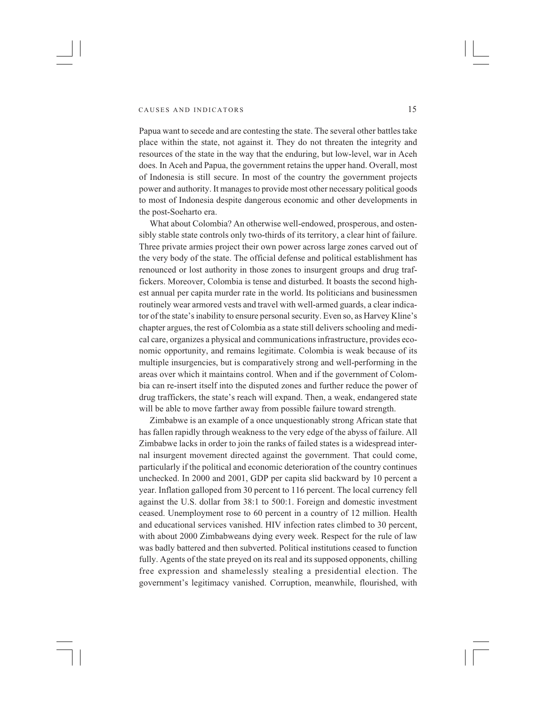Papua want to secede and are contesting the state. The several other battles take place within the state, not against it. They do not threaten the integrity and resources of the state in the way that the enduring, but low-level, war in Aceh does. In Aceh and Papua, the government retains the upper hand. Overall, most of Indonesia is still secure. In most of the country the government projects power and authority. It manages to provide most other necessary political goods to most of Indonesia despite dangerous economic and other developments in the post-Soeharto era.

What about Colombia? An otherwise well-endowed, prosperous, and ostensibly stable state controls only two-thirds of its territory, a clear hint of failure. Three private armies project their own power across large zones carved out of the very body of the state. The official defense and political establishment has renounced or lost authority in those zones to insurgent groups and drug traffickers. Moreover, Colombia is tense and disturbed. It boasts the second highest annual per capita murder rate in the world. Its politicians and businessmen routinely wear armored vests and travel with well-armed guards, a clear indicator of the state's inability to ensure personal security. Even so, as Harvey Kline's chapter argues, the rest of Colombia as a state still delivers schooling and medical care, organizes a physical and communications infrastructure, provides economic opportunity, and remains legitimate. Colombia is weak because of its multiple insurgencies, but is comparatively strong and well-performing in the areas over which it maintains control. When and if the government of Colombia can re-insert itself into the disputed zones and further reduce the power of drug traffickers, the state's reach will expand. Then, a weak, endangered state will be able to move farther away from possible failure toward strength.

Zimbabwe is an example of a once unquestionably strong African state that has fallen rapidly through weakness to the very edge of the abyss of failure. All Zimbabwe lacks in order to join the ranks of failed states is a widespread internal insurgent movement directed against the government. That could come, particularly if the political and economic deterioration of the country continues unchecked. In 2000 and 2001, GDP per capita slid backward by 10 percent a year. Inflation galloped from 30 percent to 116 percent. The local currency fell against the U.S. dollar from 38:1 to 500:1. Foreign and domestic investment ceased. Unemployment rose to 60 percent in a country of 12 million. Health and educational services vanished. HIV infection rates climbed to 30 percent, with about 2000 Zimbabweans dying every week. Respect for the rule of law was badly battered and then subverted. Political institutions ceased to function fully. Agents of the state preyed on its real and its supposed opponents, chilling free expression and shamelessly stealing a presidential election. The government's legitimacy vanished. Corruption, meanwhile, flourished, with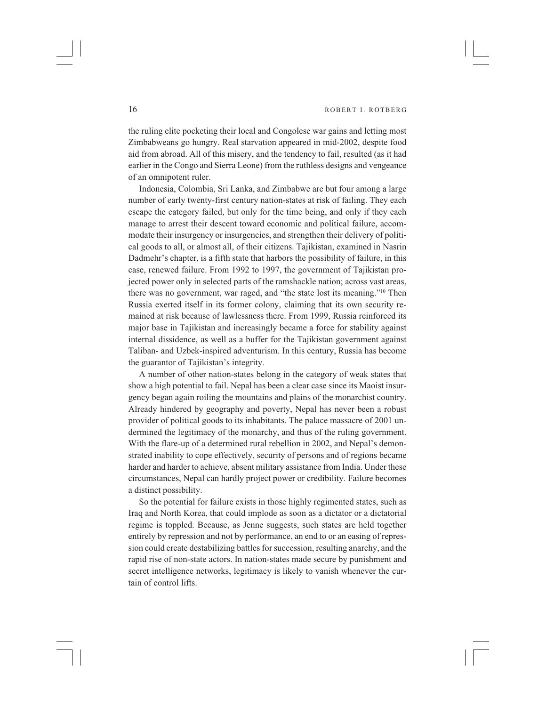the ruling elite pocketing their local and Congolese war gains and letting most Zimbabweans go hungry. Real starvation appeared in mid-2002, despite food aid from abroad. All of this misery, and the tendency to fail, resulted (as it had earlier in the Congo and Sierra Leone) from the ruthless designs and vengeance of an omnipotent ruler.

Indonesia, Colombia, Sri Lanka, and Zimbabwe are but four among a large number of early twenty-first century nation-states at risk of failing. They each escape the category failed, but only for the time being, and only if they each manage to arrest their descent toward economic and political failure, accommodate their insurgency or insurgencies, and strengthen their delivery of political goods to all, or almost all, of their citizens. Tajikistan, examined in Nasrin Dadmehr's chapter, is a fifth state that harbors the possibility of failure, in this case, renewed failure. From 1992 to 1997, the government of Tajikistan projected power only in selected parts of the ramshackle nation; across vast areas, there was no government, war raged, and "the state lost its meaning."10 Then Russia exerted itself in its former colony, claiming that its own security remained at risk because of lawlessness there. From 1999, Russia reinforced its major base in Tajikistan and increasingly became a force for stability against internal dissidence, as well as a buffer for the Tajikistan government against Taliban- and Uzbek-inspired adventurism. In this century, Russia has become the guarantor of Tajikistan's integrity.

A number of other nation-states belong in the category of weak states that show a high potential to fail. Nepal has been a clear case since its Maoist insurgency began again roiling the mountains and plains of the monarchist country. Already hindered by geography and poverty, Nepal has never been a robust provider of political goods to its inhabitants. The palace massacre of 2001 undermined the legitimacy of the monarchy, and thus of the ruling government. With the flare-up of a determined rural rebellion in 2002, and Nepal's demonstrated inability to cope effectively, security of persons and of regions became harder and harder to achieve, absent military assistance from India. Under these circumstances, Nepal can hardly project power or credibility. Failure becomes a distinct possibility.

So the potential for failure exists in those highly regimented states, such as Iraq and North Korea, that could implode as soon as a dictator or a dictatorial regime is toppled. Because, as Jenne suggests, such states are held together entirely by repression and not by performance, an end to or an easing of repression could create destabilizing battles for succession, resulting anarchy, and the rapid rise of non-state actors. In nation-states made secure by punishment and secret intelligence networks, legitimacy is likely to vanish whenever the curtain of control lifts.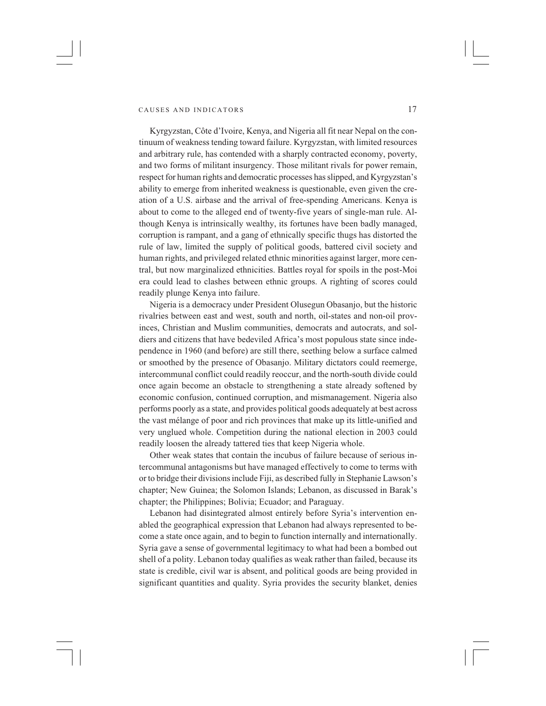Kyrgyzstan, Côte d'Ivoire, Kenya, and Nigeria all fit near Nepal on the continuum of weakness tending toward failure. Kyrgyzstan, with limited resources and arbitrary rule, has contended with a sharply contracted economy, poverty, and two forms of militant insurgency. Those militant rivals for power remain, respect for human rights and democratic processes has slipped, and Kyrgyzstan's ability to emerge from inherited weakness is questionable, even given the creation of a U.S. airbase and the arrival of free-spending Americans. Kenya is about to come to the alleged end of twenty-five years of single-man rule. Although Kenya is intrinsically wealthy, its fortunes have been badly managed, corruption is rampant, and a gang of ethnically specific thugs has distorted the rule of law, limited the supply of political goods, battered civil society and human rights, and privileged related ethnic minorities against larger, more central, but now marginalized ethnicities. Battles royal for spoils in the post-Moi era could lead to clashes between ethnic groups. A righting of scores could readily plunge Kenya into failure.

Nigeria is a democracy under President Olusegun Obasanjo, but the historic rivalries between east and west, south and north, oil-states and non-oil provinces, Christian and Muslim communities, democrats and autocrats, and soldiers and citizens that have bedeviled Africa's most populous state since independence in 1960 (and before) are still there, seething below a surface calmed or smoothed by the presence of Obasanjo. Military dictators could reemerge, intercommunal conflict could readily reoccur, and the north-south divide could once again become an obstacle to strengthening a state already softened by economic confusion, continued corruption, and mismanagement. Nigeria also performs poorly as a state, and provides political goods adequately at best across the vast mélange of poor and rich provinces that make up its little-unified and very unglued whole. Competition during the national election in 2003 could readily loosen the already tattered ties that keep Nigeria whole.

Other weak states that contain the incubus of failure because of serious intercommunal antagonisms but have managed effectively to come to terms with or to bridge their divisions include Fiji, as described fully in Stephanie Lawson's chapter; New Guinea; the Solomon Islands; Lebanon, as discussed in Barak's chapter; the Philippines; Bolivia; Ecuador; and Paraguay.

Lebanon had disintegrated almost entirely before Syria's intervention enabled the geographical expression that Lebanon had always represented to become a state once again, and to begin to function internally and internationally. Syria gave a sense of governmental legitimacy to what had been a bombed out shell of a polity. Lebanon today qualifies as weak rather than failed, because its state is credible, civil war is absent, and political goods are being provided in significant quantities and quality. Syria provides the security blanket, denies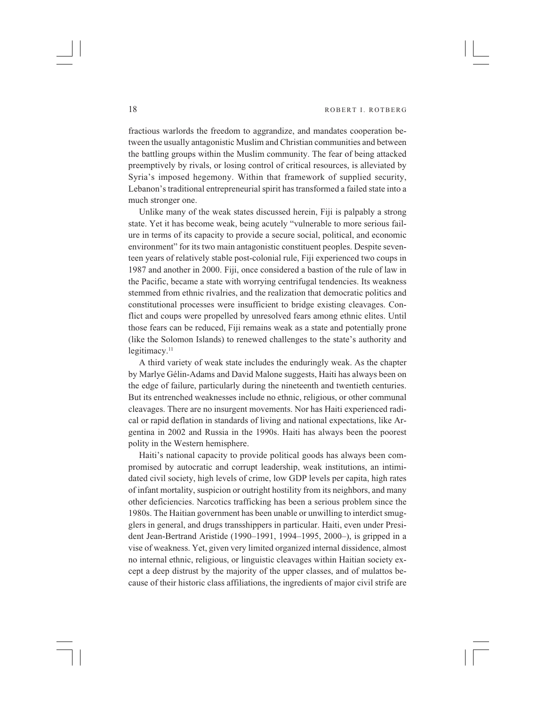fractious warlords the freedom to aggrandize, and mandates cooperation between the usually antagonistic Muslim and Christian communities and between the battling groups within the Muslim community. The fear of being attacked preemptively by rivals, or losing control of critical resources, is alleviated by Syria's imposed hegemony. Within that framework of supplied security, Lebanon's traditional entrepreneurial spirit has transformed a failed state into a much stronger one.

Unlike many of the weak states discussed herein, Fiji is palpably a strong state. Yet it has become weak, being acutely "vulnerable to more serious failure in terms of its capacity to provide a secure social, political, and economic environment" for its two main antagonistic constituent peoples. Despite seventeen years of relatively stable post-colonial rule, Fiji experienced two coups in 1987 and another in 2000. Fiji, once considered a bastion of the rule of law in the Pacific, became a state with worrying centrifugal tendencies. Its weakness stemmed from ethnic rivalries, and the realization that democratic politics and constitutional processes were insufficient to bridge existing cleavages. Conflict and coups were propelled by unresolved fears among ethnic elites. Until those fears can be reduced, Fiji remains weak as a state and potentially prone (like the Solomon Islands) to renewed challenges to the state's authority and legitimacy. $11$ 

A third variety of weak state includes the enduringly weak. As the chapter by Marlye Gélin-Adams and David Malone suggests, Haiti has always been on the edge of failure, particularly during the nineteenth and twentieth centuries. But its entrenched weaknesses include no ethnic, religious, or other communal cleavages. There are no insurgent movements. Nor has Haiti experienced radical or rapid deflation in standards of living and national expectations, like Argentina in 2002 and Russia in the 1990s. Haiti has always been the poorest polity in the Western hemisphere.

Haiti's national capacity to provide political goods has always been compromised by autocratic and corrupt leadership, weak institutions, an intimidated civil society, high levels of crime, low GDP levels per capita, high rates of infant mortality, suspicion or outright hostility from its neighbors, and many other deficiencies. Narcotics trafficking has been a serious problem since the 1980s. The Haitian government has been unable or unwilling to interdict smugglers in general, and drugs transshippers in particular. Haiti, even under President Jean-Bertrand Aristide (1990–1991, 1994–1995, 2000–), is gripped in a vise of weakness. Yet, given very limited organized internal dissidence, almost no internal ethnic, religious, or linguistic cleavages within Haitian society except a deep distrust by the majority of the upper classes, and of mulattos because of their historic class affiliations, the ingredients of major civil strife are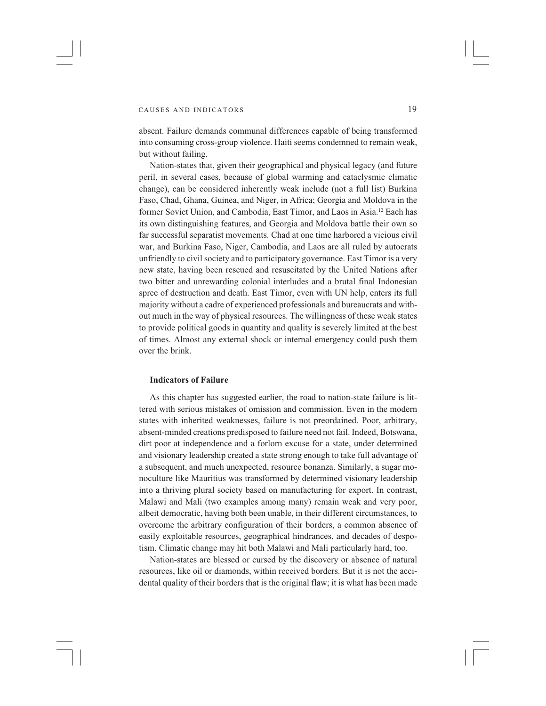absent. Failure demands communal differences capable of being transformed into consuming cross-group violence. Haiti seems condemned to remain weak, but without failing.

Nation-states that, given their geographical and physical legacy (and future peril, in several cases, because of global warming and cataclysmic climatic change), can be considered inherently weak include (not a full list) Burkina Faso, Chad, Ghana, Guinea, and Niger, in Africa; Georgia and Moldova in the former Soviet Union, and Cambodia, East Timor, and Laos in Asia.12 Each has its own distinguishing features, and Georgia and Moldova battle their own so far successful separatist movements. Chad at one time harbored a vicious civil war, and Burkina Faso, Niger, Cambodia, and Laos are all ruled by autocrats unfriendly to civil society and to participatory governance. East Timor is a very new state, having been rescued and resuscitated by the United Nations after two bitter and unrewarding colonial interludes and a brutal final Indonesian spree of destruction and death. East Timor, even with UN help, enters its full majority without a cadre of experienced professionals and bureaucrats and without much in the way of physical resources. The willingness of these weak states to provide political goods in quantity and quality is severely limited at the best of times. Almost any external shock or internal emergency could push them over the brink.

#### **Indicators of Failure**

As this chapter has suggested earlier, the road to nation-state failure is littered with serious mistakes of omission and commission. Even in the modern states with inherited weaknesses, failure is not preordained. Poor, arbitrary, absent-minded creations predisposed to failure need not fail. Indeed, Botswana, dirt poor at independence and a forlorn excuse for a state, under determined and visionary leadership created a state strong enough to take full advantage of a subsequent, and much unexpected, resource bonanza. Similarly, a sugar monoculture like Mauritius was transformed by determined visionary leadership into a thriving plural society based on manufacturing for export. In contrast, Malawi and Mali (two examples among many) remain weak and very poor, albeit democratic, having both been unable, in their different circumstances, to overcome the arbitrary configuration of their borders, a common absence of easily exploitable resources, geographical hindrances, and decades of despotism. Climatic change may hit both Malawi and Mali particularly hard, too.

Nation-states are blessed or cursed by the discovery or absence of natural resources, like oil or diamonds, within received borders. But it is not the accidental quality of their borders that is the original flaw; it is what has been made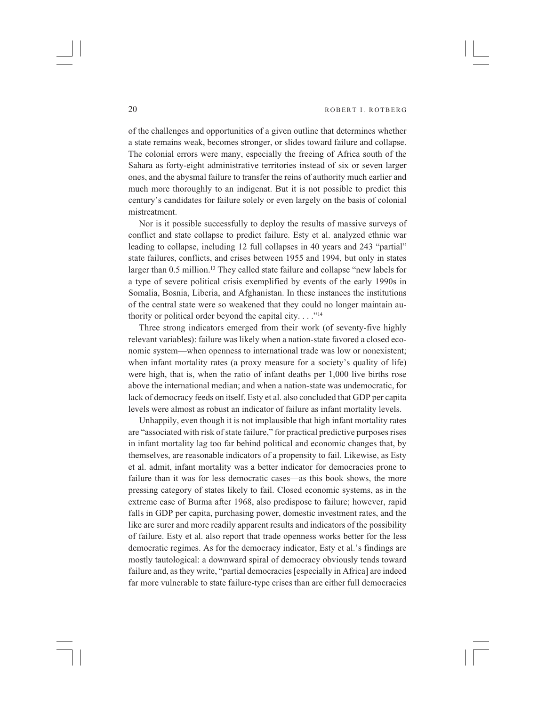of the challenges and opportunities of a given outline that determines whether a state remains weak, becomes stronger, or slides toward failure and collapse. The colonial errors were many, especially the freeing of Africa south of the Sahara as forty-eight administrative territories instead of six or seven larger ones, and the abysmal failure to transfer the reins of authority much earlier and much more thoroughly to an indigenat. But it is not possible to predict this century's candidates for failure solely or even largely on the basis of colonial mistreatment.

Nor is it possible successfully to deploy the results of massive surveys of conflict and state collapse to predict failure. Esty et al. analyzed ethnic war leading to collapse, including 12 full collapses in 40 years and 243 "partial" state failures, conflicts, and crises between 1955 and 1994, but only in states larger than 0.5 million.<sup>13</sup> They called state failure and collapse "new labels for a type of severe political crisis exemplified by events of the early 1990s in Somalia, Bosnia, Liberia, and Afghanistan. In these instances the institutions of the central state were so weakened that they could no longer maintain authority or political order beyond the capital city.  $\dots$ <sup>14</sup>

Three strong indicators emerged from their work (of seventy-five highly relevant variables): failure was likely when a nation-state favored a closed economic system—when openness to international trade was low or nonexistent; when infant mortality rates (a proxy measure for a society's quality of life) were high, that is, when the ratio of infant deaths per 1,000 live births rose above the international median; and when a nation-state was undemocratic, for lack of democracy feeds on itself. Esty et al. also concluded that GDP per capita levels were almost as robust an indicator of failure as infant mortality levels.

Unhappily, even though it is not implausible that high infant mortality rates are "associated with risk of state failure," for practical predictive purposes rises in infant mortality lag too far behind political and economic changes that, by themselves, are reasonable indicators of a propensity to fail. Likewise, as Esty et al. admit, infant mortality was a better indicator for democracies prone to failure than it was for less democratic cases—as this book shows, the more pressing category of states likely to fail. Closed economic systems, as in the extreme case of Burma after 1968, also predispose to failure; however, rapid falls in GDP per capita, purchasing power, domestic investment rates, and the like are surer and more readily apparent results and indicators of the possibility of failure. Esty et al. also report that trade openness works better for the less democratic regimes. As for the democracy indicator, Esty et al.'s findings are mostly tautological: a downward spiral of democracy obviously tends toward failure and, as they write, "partial democracies [especially in Africa] are indeed far more vulnerable to state failure-type crises than are either full democracies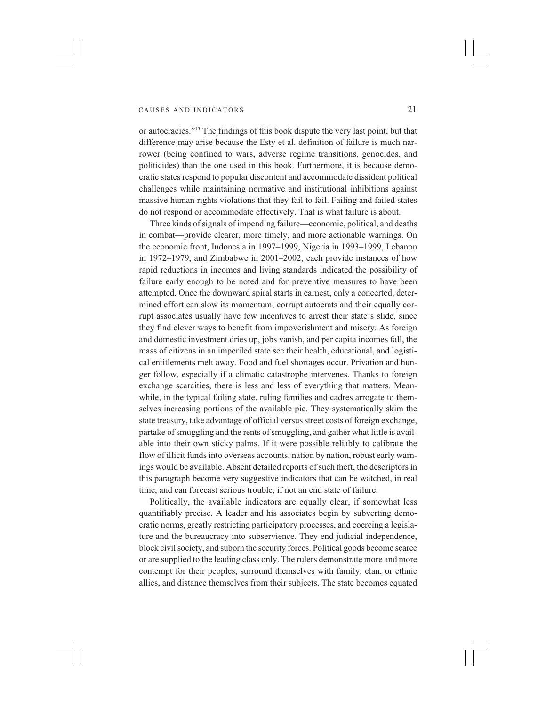or autocracies."15 The findings of this book dispute the very last point, but that difference may arise because the Esty et al. definition of failure is much narrower (being confined to wars, adverse regime transitions, genocides, and politicides) than the one used in this book. Furthermore, it is because democratic states respond to popular discontent and accommodate dissident political challenges while maintaining normative and institutional inhibitions against massive human rights violations that they fail to fail. Failing and failed states do not respond or accommodate effectively. That is what failure is about.

Three kinds of signals of impending failure—economic, political, and deaths in combat—provide clearer, more timely, and more actionable warnings. On the economic front, Indonesia in 1997–1999, Nigeria in 1993–1999, Lebanon in 1972–1979, and Zimbabwe in 2001–2002, each provide instances of how rapid reductions in incomes and living standards indicated the possibility of failure early enough to be noted and for preventive measures to have been attempted. Once the downward spiral starts in earnest, only a concerted, determined effort can slow its momentum; corrupt autocrats and their equally corrupt associates usually have few incentives to arrest their state's slide, since they find clever ways to benefit from impoverishment and misery. As foreign and domestic investment dries up, jobs vanish, and per capita incomes fall, the mass of citizens in an imperiled state see their health, educational, and logistical entitlements melt away. Food and fuel shortages occur. Privation and hunger follow, especially if a climatic catastrophe intervenes. Thanks to foreign exchange scarcities, there is less and less of everything that matters. Meanwhile, in the typical failing state, ruling families and cadres arrogate to themselves increasing portions of the available pie. They systematically skim the state treasury, take advantage of official versus street costs of foreign exchange, partake of smuggling and the rents of smuggling, and gather what little is available into their own sticky palms. If it were possible reliably to calibrate the flow of illicit funds into overseas accounts, nation by nation, robust early warnings would be available. Absent detailed reports of such theft, the descriptors in this paragraph become very suggestive indicators that can be watched, in real time, and can forecast serious trouble, if not an end state of failure.

Politically, the available indicators are equally clear, if somewhat less quantifiably precise. A leader and his associates begin by subverting democratic norms, greatly restricting participatory processes, and coercing a legislature and the bureaucracy into subservience. They end judicial independence, block civil society, and suborn the security forces. Political goods become scarce or are supplied to the leading class only. The rulers demonstrate more and more contempt for their peoples, surround themselves with family, clan, or ethnic allies, and distance themselves from their subjects. The state becomes equated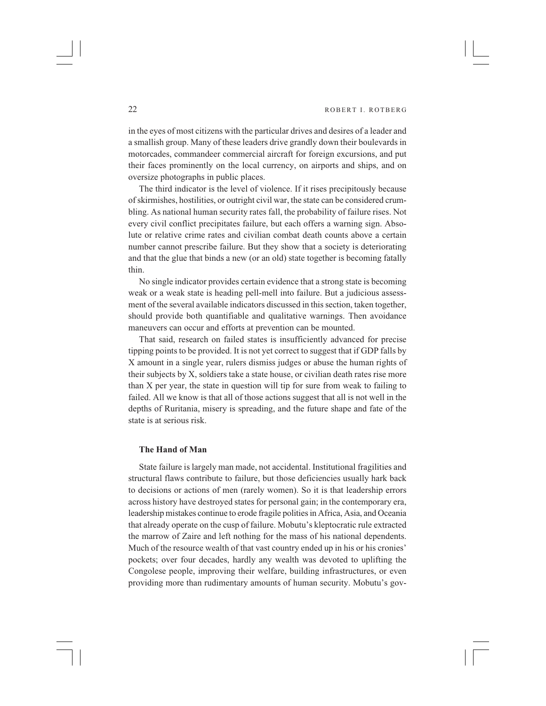in the eyes of most citizens with the particular drives and desires of a leader and a smallish group. Many of these leaders drive grandly down their boulevards in motorcades, commandeer commercial aircraft for foreign excursions, and put their faces prominently on the local currency, on airports and ships, and on oversize photographs in public places.

The third indicator is the level of violence. If it rises precipitously because of skirmishes, hostilities, or outright civil war, the state can be considered crumbling. As national human security rates fall, the probability of failure rises. Not every civil conflict precipitates failure, but each offers a warning sign. Absolute or relative crime rates and civilian combat death counts above a certain number cannot prescribe failure. But they show that a society is deteriorating and that the glue that binds a new (or an old) state together is becoming fatally thin.

No single indicator provides certain evidence that a strong state is becoming weak or a weak state is heading pell-mell into failure. But a judicious assessment of the several available indicators discussed in this section, taken together, should provide both quantifiable and qualitative warnings. Then avoidance maneuvers can occur and efforts at prevention can be mounted.

That said, research on failed states is insufficiently advanced for precise tipping points to be provided. It is not yet correct to suggest that if GDP falls by X amount in a single year, rulers dismiss judges or abuse the human rights of their subjects by X, soldiers take a state house, or civilian death rates rise more than X per year, the state in question will tip for sure from weak to failing to failed. All we know is that all of those actions suggest that all is not well in the depths of Ruritania, misery is spreading, and the future shape and fate of the state is at serious risk.

### **The Hand of Man**

State failure is largely man made, not accidental. Institutional fragilities and structural flaws contribute to failure, but those deficiencies usually hark back to decisions or actions of men (rarely women). So it is that leadership errors across history have destroyed states for personal gain; in the contemporary era, leadership mistakes continue to erode fragile polities in Africa, Asia, and Oceania that already operate on the cusp of failure. Mobutu's kleptocratic rule extracted the marrow of Zaire and left nothing for the mass of his national dependents. Much of the resource wealth of that vast country ended up in his or his cronies' pockets; over four decades, hardly any wealth was devoted to uplifting the Congolese people, improving their welfare, building infrastructures, or even providing more than rudimentary amounts of human security. Mobutu's gov-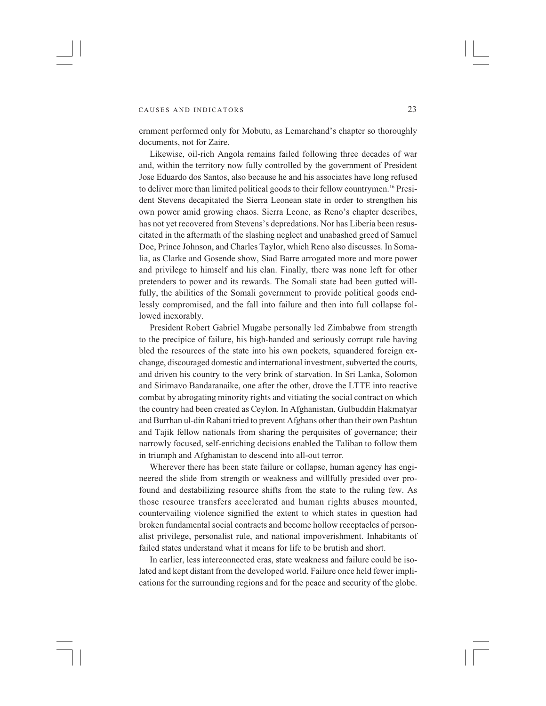ernment performed only for Mobutu, as Lemarchand's chapter so thoroughly documents, not for Zaire.

Likewise, oil-rich Angola remains failed following three decades of war and, within the territory now fully controlled by the government of President Jose Eduardo dos Santos, also because he and his associates have long refused to deliver more than limited political goods to their fellow countrymen.16 President Stevens decapitated the Sierra Leonean state in order to strengthen his own power amid growing chaos. Sierra Leone, as Reno's chapter describes, has not yet recovered from Stevens's depredations. Nor has Liberia been resuscitated in the aftermath of the slashing neglect and unabashed greed of Samuel Doe, Prince Johnson, and Charles Taylor, which Reno also discusses. In Somalia, as Clarke and Gosende show, Siad Barre arrogated more and more power and privilege to himself and his clan. Finally, there was none left for other pretenders to power and its rewards. The Somali state had been gutted willfully, the abilities of the Somali government to provide political goods endlessly compromised, and the fall into failure and then into full collapse followed inexorably.

President Robert Gabriel Mugabe personally led Zimbabwe from strength to the precipice of failure, his high-handed and seriously corrupt rule having bled the resources of the state into his own pockets, squandered foreign exchange, discouraged domestic and international investment, subverted the courts, and driven his country to the very brink of starvation. In Sri Lanka, Solomon and Sirimavo Bandaranaike, one after the other, drove the LTTE into reactive combat by abrogating minority rights and vitiating the social contract on which the country had been created as Ceylon. In Afghanistan, Gulbuddin Hakmatyar and Burrhan ul-din Rabani tried to prevent Afghans other than their own Pashtun and Tajik fellow nationals from sharing the perquisites of governance; their narrowly focused, self-enriching decisions enabled the Taliban to follow them in triumph and Afghanistan to descend into all-out terror.

Wherever there has been state failure or collapse, human agency has engineered the slide from strength or weakness and willfully presided over profound and destabilizing resource shifts from the state to the ruling few. As those resource transfers accelerated and human rights abuses mounted, countervailing violence signified the extent to which states in question had broken fundamental social contracts and become hollow receptacles of personalist privilege, personalist rule, and national impoverishment. Inhabitants of failed states understand what it means for life to be brutish and short.

In earlier, less interconnected eras, state weakness and failure could be isolated and kept distant from the developed world. Failure once held fewer implications for the surrounding regions and for the peace and security of the globe.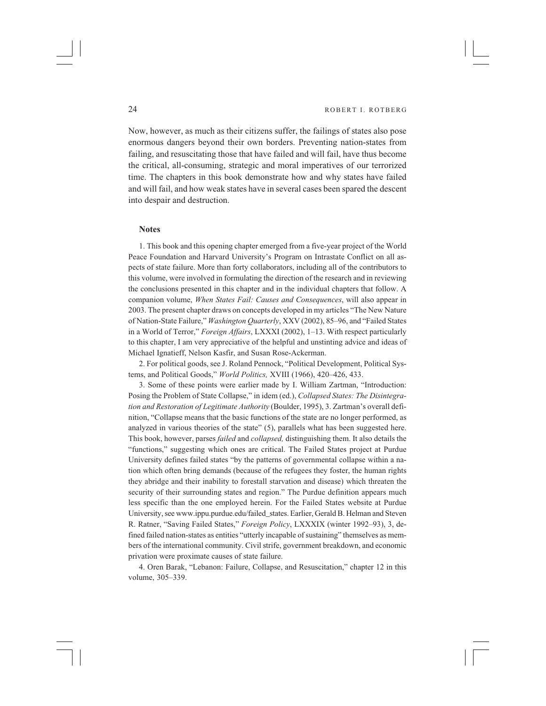Now, however, as much as their citizens suffer, the failings of states also pose enormous dangers beyond their own borders. Preventing nation-states from failing, and resuscitating those that have failed and will fail, have thus become the critical, all-consuming, strategic and moral imperatives of our terrorized time. The chapters in this book demonstrate how and why states have failed and will fail, and how weak states have in several cases been spared the descent into despair and destruction.

## **Notes**

1. This book and this opening chapter emerged from a five-year project of the World Peace Foundation and Harvard University's Program on Intrastate Conflict on all aspects of state failure. More than forty collaborators, including all of the contributors to this volume, were involved in formulating the direction of the research and in reviewing the conclusions presented in this chapter and in the individual chapters that follow. A companion volume, *When States Fail: Causes and Consequences*, will also appear in 2003. The present chapter draws on concepts developed in my articles "The New Nature of Nation-State Failure," *Washington Quarterly*, XXV (2002), 85–96, and "Failed States in a World of Terror," *Foreign Affairs*, LXXXI (2002), 1–13. With respect particularly to this chapter, I am very appreciative of the helpful and unstinting advice and ideas of Michael Ignatieff, Nelson Kasfir, and Susan Rose-Ackerman.

2. For political goods, see J. Roland Pennock, "Political Development, Political Systems, and Political Goods," *World Politics,* XVIII (1966), 420–426, 433.

3. Some of these points were earlier made by I. William Zartman, "Introduction: Posing the Problem of State Collapse," in idem (ed.), *Collapsed States: The Disintegration and Restoration of Legitimate Authority* (Boulder, 1995), 3. Zartman's overall definition, "Collapse means that the basic functions of the state are no longer performed, as analyzed in various theories of the state" (5), parallels what has been suggested here. This book, however, parses *failed* and *collapsed,* distinguishing them. It also details the "functions," suggesting which ones are critical. The Failed States project at Purdue University defines failed states "by the patterns of governmental collapse within a nation which often bring demands (because of the refugees they foster, the human rights they abridge and their inability to forestall starvation and disease) which threaten the security of their surrounding states and region." The Purdue definition appears much less specific than the one employed herein. For the Failed States website at Purdue University, see www.ippu.purdue.edu/failed\_states. Earlier, Gerald B. Helman and Steven R. Ratner, "Saving Failed States," *Foreign Policy*, LXXXIX (winter 1992–93), 3, defined failed nation-states as entities "utterly incapable of sustaining" themselves as members of the international community. Civil strife, government breakdown, and economic privation were proximate causes of state failure.

4. Oren Barak, "Lebanon: Failure, Collapse, and Resuscitation," chapter 12 in this volume, 305–339.